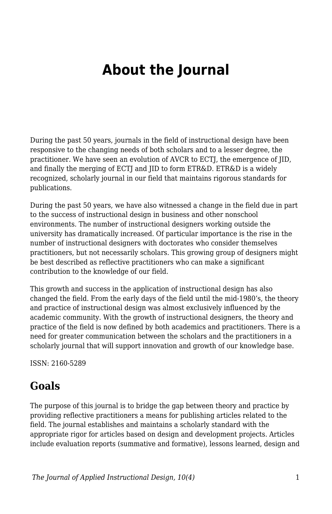# **About the Journal**

During the past 50 years, journals in the field of instructional design have been responsive to the changing needs of both scholars and to a lesser degree, the practitioner. We have seen an evolution of AVCR to ECTJ, the emergence of JID, and finally the merging of ECTJ and JID to form ETR&D. ETR&D is a widely recognized, scholarly journal in our field that maintains rigorous standards for publications.

During the past 50 years, we have also witnessed a change in the field due in part to the success of instructional design in business and other nonschool environments. The number of instructional designers working outside the university has dramatically increased. Of particular importance is the rise in the number of instructional designers with doctorates who consider themselves practitioners, but not necessarily scholars. This growing group of designers might be best described as reflective practitioners who can make a significant contribution to the knowledge of our field.

This growth and success in the application of instructional design has also changed the field. From the early days of the field until the mid-1980's, the theory and practice of instructional design was almost exclusively influenced by the academic community. With the growth of instructional designers, the theory and practice of the field is now defined by both academics and practitioners. There is a need for greater communication between the scholars and the practitioners in a scholarly journal that will support innovation and growth of our knowledge base.

ISSN: 2160-5289

#### **Goals**

The purpose of this journal is to bridge the gap between theory and practice by providing reflective practitioners a means for publishing articles related to the field. The journal establishes and maintains a scholarly standard with the appropriate rigor for articles based on design and development projects. Articles include evaluation reports (summative and formative), lessons learned, design and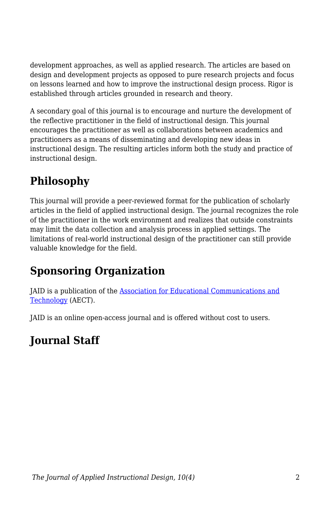development approaches, as well as applied research. The articles are based on design and development projects as opposed to pure research projects and focus on lessons learned and how to improve the instructional design process. Rigor is established through articles grounded in research and theory.

A secondary goal of this journal is to encourage and nurture the development of the reflective practitioner in the field of instructional design. This journal encourages the practitioner as well as collaborations between academics and practitioners as a means of disseminating and developing new ideas in instructional design. The resulting articles inform both the study and practice of instructional design.

# **Philosophy**

This journal will provide a peer-reviewed format for the publication of scholarly articles in the field of applied instructional design. The journal recognizes the role of the practitioner in the work environment and realizes that outside constraints may limit the data collection and analysis process in applied settings. The limitations of real-world instructional design of the practitioner can still provide valuable knowledge for the field.

## **Sponsoring Organization**

JAID is a publication of the [Association for Educational Communications and](https://www.aect.org/) [Technology](https://www.aect.org/) (AECT).

JAID is an online open-access journal and is offered without cost to users.

## **Journal Staff**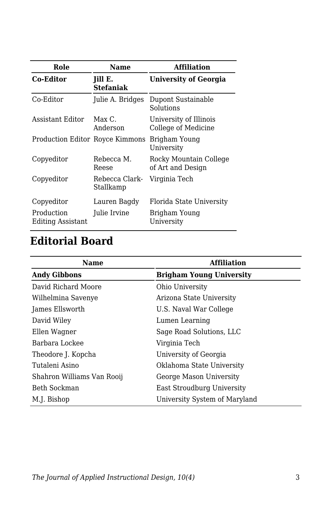| Role                                   | <b>Name</b>                 | <b>Affiliation</b>                            |
|----------------------------------------|-----------------------------|-----------------------------------------------|
| <b>Co-Editor</b>                       | Jill E.<br><b>Stefaniak</b> | <b>University of Georgia</b>                  |
| Co-Editor                              | Julie A. Bridges            | Dupont Sustainable<br>Solutions               |
| Assistant Editor                       | $Max C$ .<br>Anderson       | University of Illinois<br>College of Medicine |
| <b>Production Editor Royce Kimmons</b> |                             | Brigham Young<br>University                   |
| Copyeditor                             | Rebecca M.<br>Reese         | Rocky Mountain College<br>of Art and Design   |
| Copyeditor                             | Rebecca Clark-<br>Stallkamp | Virginia Tech                                 |
| Copyeditor                             | Lauren Bagdy                | Florida State University                      |
| Production<br><b>Editing Assistant</b> | Julie Irvine                | Brigham Young<br>University                   |

## **Editorial Board**

| Name                       | <b>Affiliation</b>              |
|----------------------------|---------------------------------|
| <b>Andy Gibbons</b>        | <b>Brigham Young University</b> |
| David Richard Moore        | Ohio University                 |
| Wilhelmina Savenye         | Arizona State University        |
| James Ellsworth            | U.S. Naval War College          |
| David Wiley                | Lumen Learning                  |
| Ellen Wagner               | Sage Road Solutions, LLC        |
| Barbara Lockee             | Virginia Tech                   |
| Theodore J. Kopcha         | University of Georgia           |
| Tutaleni Asino             | Oklahoma State University       |
| Shahron Williams Van Rooij | George Mason University         |
| Beth Sockman               | East Stroudburg University      |
| M.J. Bishop                | University System of Maryland   |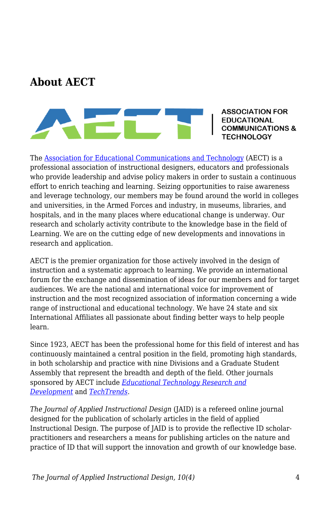#### **About AECT**



**ASSOCIATION FOR EDUCATIONAL IMUNICATIONS & TECHNOLOGY** 

The [Association for Educational Communications and Technology](https://www.aect.org/) (AECT) is a professional association of instructional designers, educators and professionals who provide leadership and advise policy makers in order to sustain a continuous effort to enrich teaching and learning. Seizing opportunities to raise awareness and leverage technology, our members may be found around the world in colleges and universities, in the Armed Forces and industry, in museums, libraries, and hospitals, and in the many places where educational change is underway. Our research and scholarly activity contribute to the knowledge base in the field of Learning. We are on the cutting edge of new developments and innovations in research and application.

AECT is the premier organization for those actively involved in the design of instruction and a systematic approach to learning. We provide an international forum for the exchange and dissemination of ideas for our members and for target audiences. We are the national and international voice for improvement of instruction and the most recognized association of information concerning a wide range of instructional and educational technology. We have 24 state and six International Affiliates all passionate about finding better ways to help people learn.

Since 1923, AECT has been the professional home for this field of interest and has continuously maintained a central position in the field, promoting high standards, in both scholarship and practice with nine Divisions and a Graduate Student Assembly that represent the breadth and depth of the field. Other journals sponsored by AECT include *[Educational Technology Research and](https://www.springer.com/journal/11423) [Development](https://www.springer.com/journal/11423)* and *[TechTrends](https://www.springer.com/journal/11528)*.

*The Journal of Applied Instructional Design* (JAID) is a refereed online journal designed for the publication of scholarly articles in the field of applied Instructional Design. The purpose of JAID is to provide the reflective ID scholarpractitioners and researchers a means for publishing articles on the nature and practice of ID that will support the innovation and growth of our knowledge base.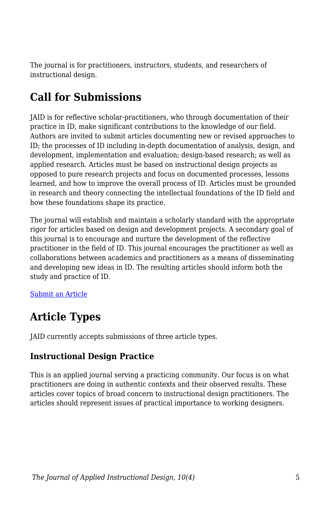The journal is for practitioners, instructors, students, and researchers of instructional design.

### **Call for Submissions**

JAID is for reflective scholar-practitioners, who through documentation of their practice in ID, make significant contributions to the knowledge of our field. Authors are invited to submit articles documenting new or revised approaches to ID; the processes of ID including in-depth documentation of analysis, design, and development, implementation and evaluation; design-based research; as well as applied research. Articles must be based on instructional design projects as opposed to pure research projects and focus on documented processes, lessons learned, and how to improve the overall process of ID. Articles must be grounded in research and theory connecting the intellectual foundations of the ID field and how these foundations shape its practice.

The journal will establish and maintain a scholarly standard with the appropriate rigor for articles based on design and development projects. A secondary goal of this journal is to encourage and nurture the development of the reflective practitioner in the field of ID. This journal encourages the practitioner as well as collaborations between academics and practitioners as a means of disseminating and developing new ideas in ID. The resulting articles should inform both the study and practice of ID.

#### [Submit an Article](https://docs.google.com/forms/d/e/1FAIpQLSdetYatKzxU7poSBjfLgKIJ-cXUT5aFDj7XVADK4B-pZTSNRQ/viewform)

#### **Article Types**

JAID currently accepts submissions of three article types.

#### **Instructional Design Practice**

This is an applied journal serving a practicing community. Our focus is on what practitioners are doing in authentic contexts and their observed results. These articles cover topics of broad concern to instructional design practitioners. The articles should represent issues of practical importance to working designers.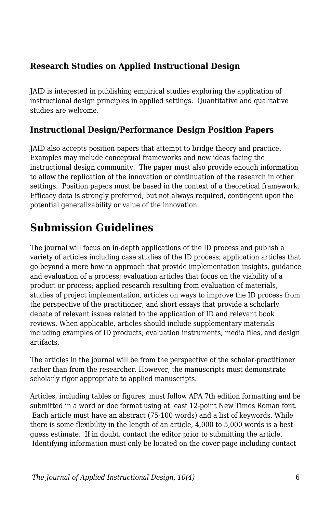#### **Research Studies on Applied Instructional Design**

JAID is interested in publishing empirical studies exploring the application of instructional design principles in applied settings. Quantitative and qualitative studies are welcome.

#### **Instructional Design/Performance Design Position Papers**

JAID also accepts position papers that attempt to bridge theory and practice. Examples may include conceptual frameworks and new ideas facing the instructional design community. The paper must also provide enough information to allow the replication of the innovation or continuation of the research in other settings. Position papers must be based in the context of a theoretical framework. Efficacy data is strongly preferred, but not always required, contingent upon the potential generalizability or value of the innovation.

#### **Submission Guidelines**

The journal will focus on in-depth applications of the ID process and publish a variety of articles including case studies of the ID process; application articles that go beyond a mere how-to approach that provide implementation insights, guidance and evaluation of a process; evaluation articles that focus on the viability of a product or process; applied research resulting from evaluation of materials, studies of project implementation, articles on ways to improve the ID process from the perspective of the practitioner, and short essays that provide a scholarly debate of relevant issues related to the application of ID and relevant book reviews. When applicable, articles should include supplementary materials including examples of ID products, evaluation instruments, media files, and design artifacts.

The articles in the journal will be from the perspective of the scholar-practitioner rather than from the researcher. However, the manuscripts must demonstrate scholarly rigor appropriate to applied manuscripts.

Articles, including tables or figures, must follow APA 7th edition formatting and be submitted in a word or doc format using at least 12-point New Times Roman font. Each article must have an abstract (75-100 words) and a list of keywords. While there is some flexibility in the length of an article, 4,000 to 5,000 words is a bestguess estimate. If in doubt, contact the editor prior to submitting the article. Identifying information must only be located on the cover page including contact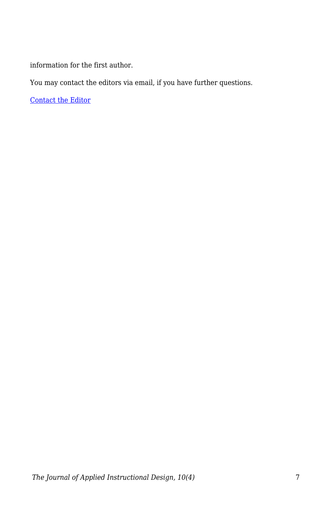information for the first author.

You may contact the editors via email, if you have further questions.

[Contact the Editor](mailto:jill.stefaniak@uga.edu?subject=JAID%20Question)